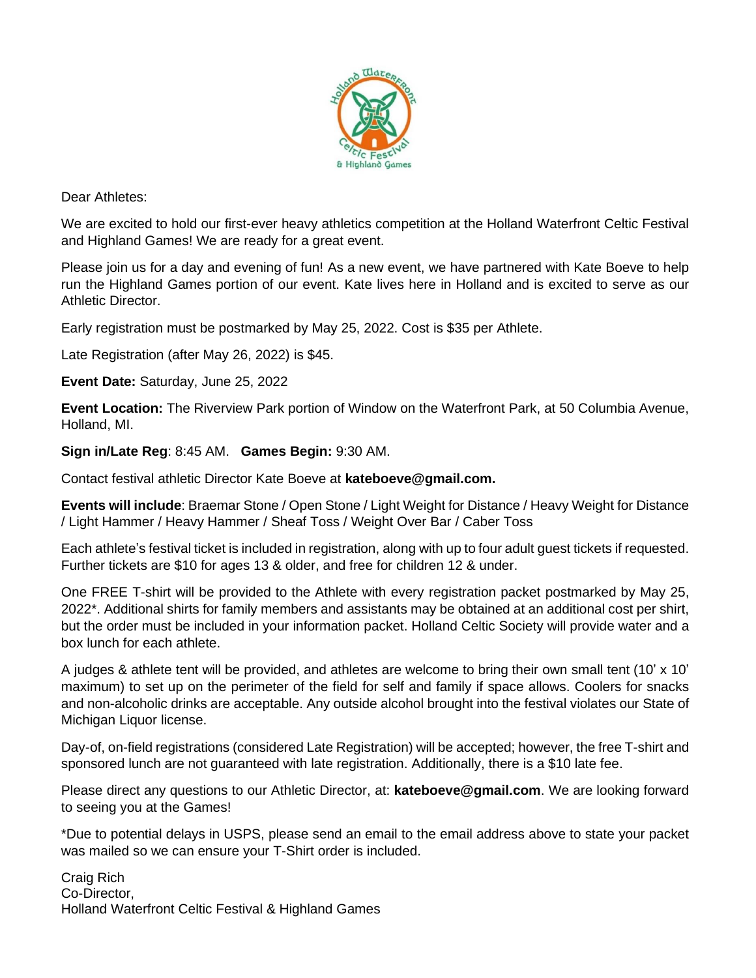

Dear Athletes:

We are excited to hold our first-ever heavy athletics competition at the Holland Waterfront Celtic Festival and Highland Games! We are ready for a great event.

Please join us for a day and evening of fun! As a new event, we have partnered with Kate Boeve to help run the Highland Games portion of our event. Kate lives here in Holland and is excited to serve as our Athletic Director.

Early registration must be postmarked by May 25, 2022. Cost is \$35 per Athlete.

Late Registration (after May 26, 2022) is \$45.

**Event Date:** Saturday, June 25, 2022

**Event Location:** The Riverview Park portion of Window on the Waterfront Park, at 50 Columbia Avenue, Holland, MI.

**Sign in/Late Reg**: 8:45 AM. **Games Begin:** 9:30 AM.

Contact festival athletic Director Kate Boeve at **kateboeve@gmail.com.**

**Events will include**: Braemar Stone / Open Stone / Light Weight for Distance / Heavy Weight for Distance / Light Hammer / Heavy Hammer / Sheaf Toss / Weight Over Bar / Caber Toss

Each athlete's festival ticket is included in registration, along with up to four adult guest tickets if requested. Further tickets are \$10 for ages 13 & older, and free for children 12 & under.

One FREE T-shirt will be provided to the Athlete with every registration packet postmarked by May 25, 2022\*. Additional shirts for family members and assistants may be obtained at an additional cost per shirt, but the order must be included in your information packet. Holland Celtic Society will provide water and a box lunch for each athlete.

A judges & athlete tent will be provided, and athletes are welcome to bring their own small tent (10' x 10' maximum) to set up on the perimeter of the field for self and family if space allows. Coolers for snacks and non-alcoholic drinks are acceptable. Any outside alcohol brought into the festival violates our State of Michigan Liquor license.

Day-of, on-field registrations (considered Late Registration) will be accepted; however, the free T-shirt and sponsored lunch are not guaranteed with late registration. Additionally, there is a \$10 late fee.

Please direct any questions to our Athletic Director, at: **kateboeve@gmail.com**. We are looking forward to seeing you at the Games!

\*Due to potential delays in USPS, please send an email to the email address above to state your packet was mailed so we can ensure your T-Shirt order is included.

Craig Rich Co-Director, Holland Waterfront Celtic Festival & Highland Games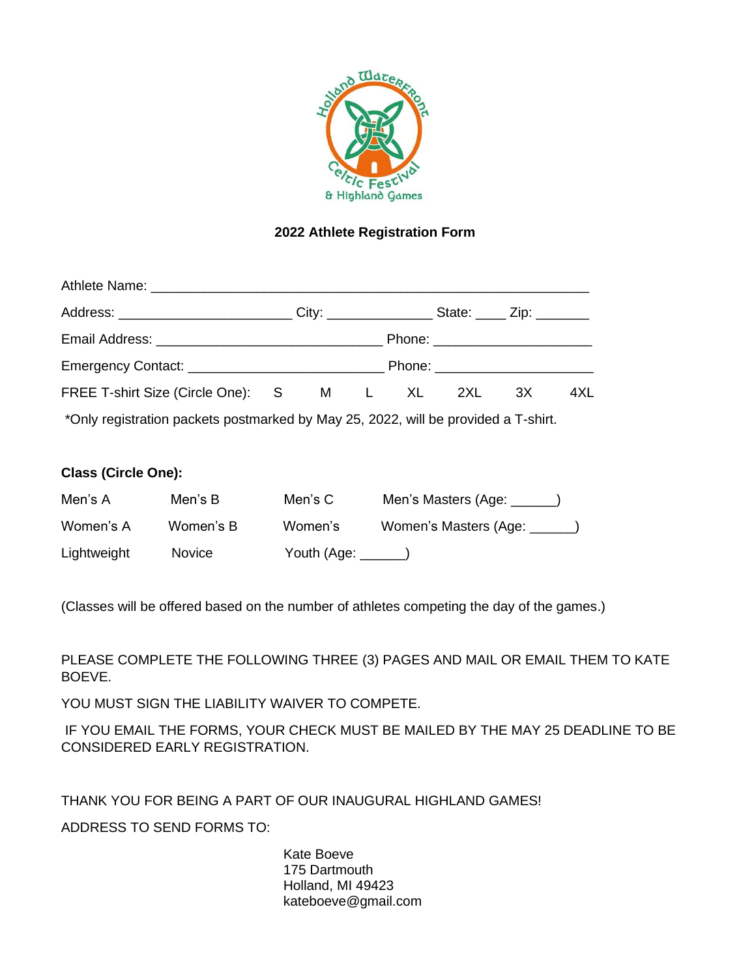

## **2022 Athlete Registration Form**

| Athlete Name: Manual Athletic Manual Athletic Manual Athletic Manual Athletic Manual Athletic Manual Athletic |  |  |                                   |     |
|---------------------------------------------------------------------------------------------------------------|--|--|-----------------------------------|-----|
| Address: ______________________________City: ____________________State: ______ Zip: _________                 |  |  |                                   |     |
|                                                                                                               |  |  | Phone: ________________________   |     |
|                                                                                                               |  |  | Phone: __________________________ |     |
| FREE T-shirt Size (Circle One): S M L XL 2XL 3X                                                               |  |  |                                   | 4XL |
| *Only registration packets postmarked by May 25, 2022, will be provided a T-shirt.                            |  |  |                                   |     |

### **Class (Circle One):**

| Men's A     | Men's B   | Men's C | Men's Masters (Age: )          |
|-------------|-----------|---------|--------------------------------|
| Women's A   | Women's B | Women's | Women's Masters (Age: _______) |
| Lightweight | Novice    |         |                                |

(Classes will be offered based on the number of athletes competing the day of the games.)

PLEASE COMPLETE THE FOLLOWING THREE (3) PAGES AND MAIL OR EMAIL THEM TO KATE BOEVE.

YOU MUST SIGN THE LIABILITY WAIVER TO COMPETE.

IF YOU EMAIL THE FORMS, YOUR CHECK MUST BE MAILED BY THE MAY 25 DEADLINE TO BE CONSIDERED EARLY REGISTRATION.

THANK YOU FOR BEING A PART OF OUR INAUGURAL HIGHLAND GAMES!

ADDRESS TO SEND FORMS TO:

Kate Boeve 175 Dartmouth Holland, MI 49423 kateboeve@gmail.com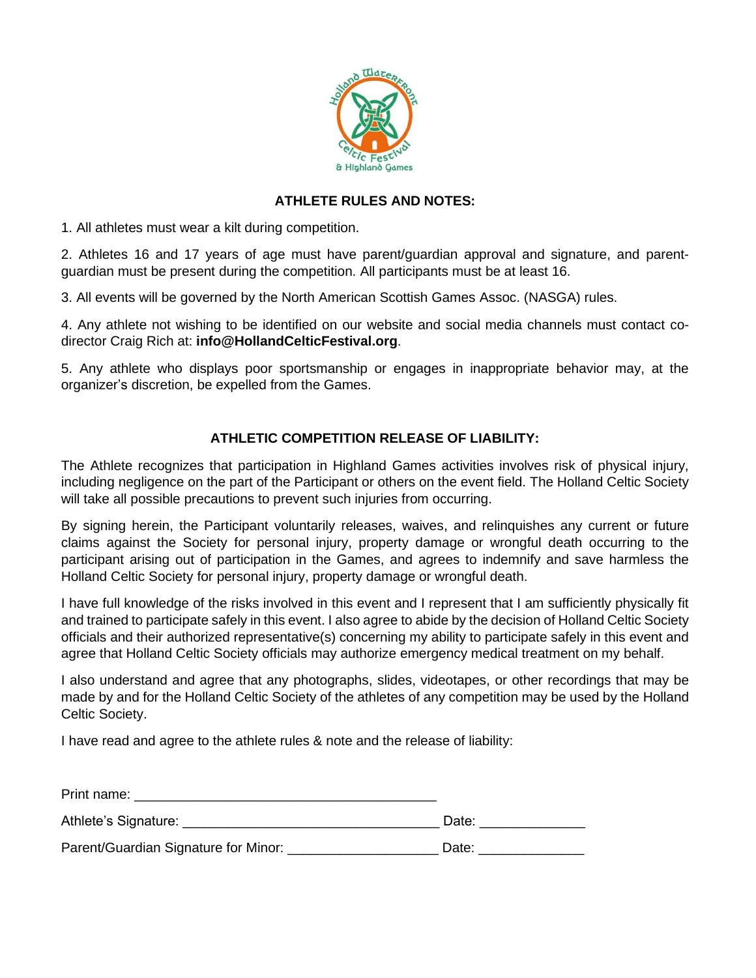

### **ATHLETE RULES AND NOTES:**

1. All athletes must wear a kilt during competition.

2. Athletes 16 and 17 years of age must have parent/guardian approval and signature, and parentguardian must be present during the competition. All participants must be at least 16.

3. All events will be governed by the North American Scottish Games Assoc. (NASGA) rules.

4. Any athlete not wishing to be identified on our website and social media channels must contact codirector Craig Rich at: **info@HollandCelticFestival.org**.

5. Any athlete who displays poor sportsmanship or engages in inappropriate behavior may, at the organizer's discretion, be expelled from the Games.

#### **ATHLETIC COMPETITION RELEASE OF LIABILITY:**

The Athlete recognizes that participation in Highland Games activities involves risk of physical injury, including negligence on the part of the Participant or others on the event field. The Holland Celtic Society will take all possible precautions to prevent such injuries from occurring.

By signing herein, the Participant voluntarily releases, waives, and relinquishes any current or future claims against the Society for personal injury, property damage or wrongful death occurring to the participant arising out of participation in the Games, and agrees to indemnify and save harmless the Holland Celtic Society for personal injury, property damage or wrongful death.

I have full knowledge of the risks involved in this event and I represent that I am sufficiently physically fit and trained to participate safely in this event. I also agree to abide by the decision of Holland Celtic Society officials and their authorized representative(s) concerning my ability to participate safely in this event and agree that Holland Celtic Society officials may authorize emergency medical treatment on my behalf.

I also understand and agree that any photographs, slides, videotapes, or other recordings that may be made by and for the Holland Celtic Society of the athletes of any competition may be used by the Holland Celtic Society.

I have read and agree to the athlete rules & note and the release of liability:

| Print name:                          |       |
|--------------------------------------|-------|
| Athlete's Signature:                 | Date: |
| Parent/Guardian Signature for Minor: | Date: |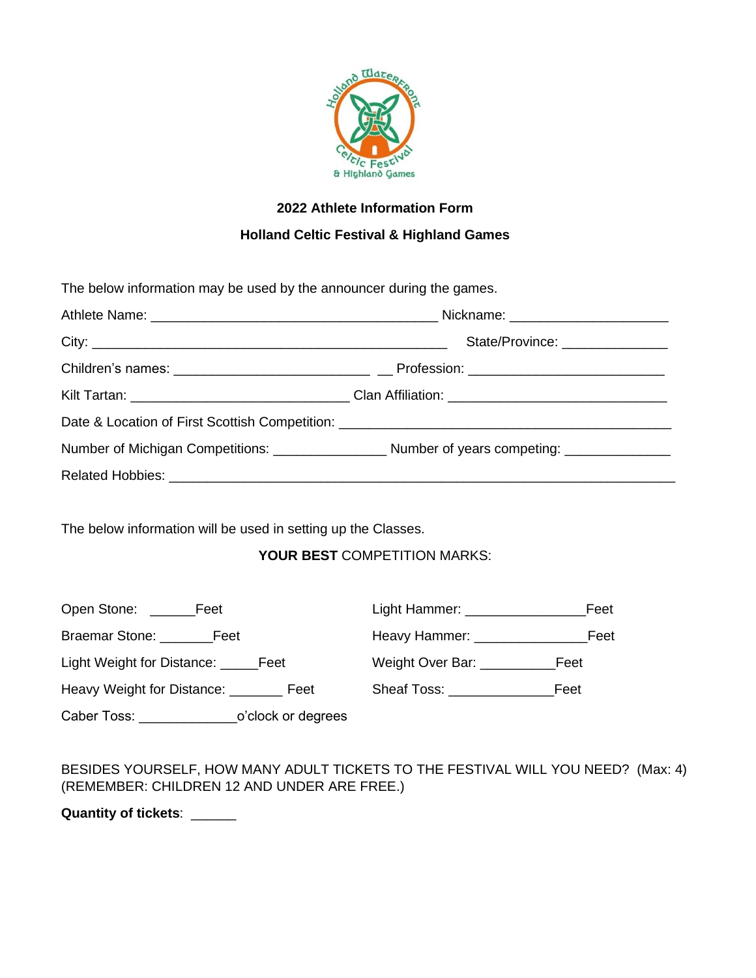

# **2022 Athlete Information Form**

## **Holland Celtic Festival & Highland Games**

The below information may be used by the announcer during the games.

| State/Province: _______________                                                                      |  |  |
|------------------------------------------------------------------------------------------------------|--|--|
|                                                                                                      |  |  |
| Kilt Tartan: ___________________________________Clan Affiliation: __________________________________ |  |  |
|                                                                                                      |  |  |
|                                                                                                      |  |  |
|                                                                                                      |  |  |

The below information will be used in setting up the Classes.

## **YOUR BEST** COMPETITION MARKS:

| Open Stone: ______<br>Feet             |                    | Light Hammer: ______________            | Feet |
|----------------------------------------|--------------------|-----------------------------------------|------|
| Braemar Stone: Feet                    |                    | Heavy Hammer: Network and Heavy Hammer: | Feet |
| Light Weight for Distance: _______Feet |                    | Weight Over Bar: __________             | Feet |
| Heavy Weight for Distance: Feet        |                    | Sheaf Toss: The Sheaf Toss:             | Feet |
| Caber Toss: ___________                | o'clock or degrees |                                         |      |

BESIDES YOURSELF, HOW MANY ADULT TICKETS TO THE FESTIVAL WILL YOU NEED? (Max: 4) (REMEMBER: CHILDREN 12 AND UNDER ARE FREE.)

**Quantity of tickets**: \_\_\_\_\_\_